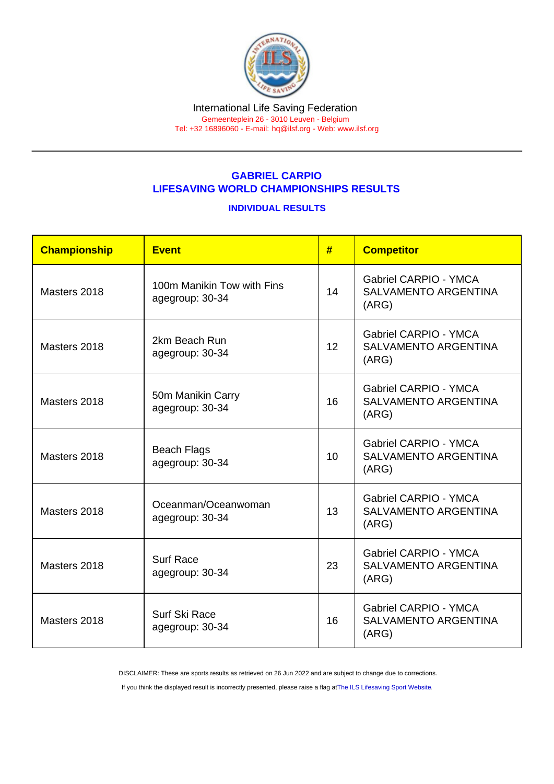# GABRIEL CARPIO LIFESAVING WORLD CHAMPIONSHIPS RESULTS

### INDIVIDUAL RESULTS

| Championship | Event                                         | #  | <b>Competitor</b>                                                    |
|--------------|-----------------------------------------------|----|----------------------------------------------------------------------|
| Masters 2018 | 100m Manikin Tow with Fins<br>agegroup: 30-34 | 14 | <b>Gabriel CARPIO - YMCA</b><br><b>SALVAMENTO ARGENTINA</b><br>(ARG) |
| Masters 2018 | 2km Beach Run<br>agegroup: 30-34              | 12 | <b>Gabriel CARPIO - YMCA</b><br><b>SALVAMENTO ARGENTINA</b><br>(ARG) |
| Masters 2018 | 50m Manikin Carry<br>agegroup: 30-34          | 16 | <b>Gabriel CARPIO - YMCA</b><br><b>SALVAMENTO ARGENTINA</b><br>(ARG) |
| Masters 2018 | <b>Beach Flags</b><br>agegroup: 30-34         | 10 | <b>Gabriel CARPIO - YMCA</b><br><b>SALVAMENTO ARGENTINA</b><br>(ARG) |
| Masters 2018 | Oceanman/Oceanwoman<br>agegroup: 30-34        | 13 | <b>Gabriel CARPIO - YMCA</b><br><b>SALVAMENTO ARGENTINA</b><br>(ARG) |
| Masters 2018 | <b>Surf Race</b><br>agegroup: 30-34           | 23 | <b>Gabriel CARPIO - YMCA</b><br><b>SALVAMENTO ARGENTINA</b><br>(ARG) |
| Masters 2018 | Surf Ski Race<br>agegroup: 30-34              | 16 | <b>Gabriel CARPIO - YMCA</b><br><b>SALVAMENTO ARGENTINA</b><br>(ARG) |

DISCLAIMER: These are sports results as retrieved on 26 Jun 2022 and are subject to change due to corrections.

If you think the displayed result is incorrectly presented, please raise a flag at [The ILS Lifesaving Sport Website.](https://sport.ilsf.org)